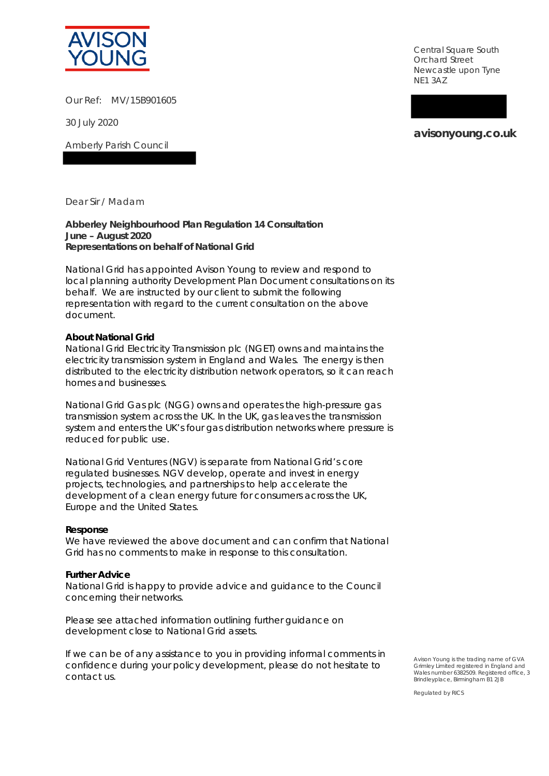

Our Ref: MV/15B901605

30 July 2020

Amberly Parish Council

Central Square South Orchard Street Newcastle upon Tyne NE1 3AZ

**avisonyoung.co.uk**

Dear Sir / Madam

**Abberley Neighbourhood Plan Regulation 14 Consultation June – August 2020 Representations on behalf of National Grid**

National Grid has appointed Avison Young to review and respond to local planning authority Development Plan Document consultations on its behalf. We are instructed by our client to submit the following representation with regard to the current consultation on the above document.

# **About National Grid**

National Grid Electricity Transmission plc (NGET) owns and maintains the electricity transmission system in England and Wales. The energy is then distributed to the electricity distribution network operators, so it can reach homes and businesses.

National Grid Gas plc (NGG) owns and operates the high-pressure gas transmission system across the UK. In the UK, gas leaves the transmission system and enters the UK's four gas distribution networks where pressure is reduced for public use.

National Grid Ventures (NGV) is separate from National Grid's core regulated businesses. NGV develop, operate and invest in energy projects, technologies, and partnerships to help accelerate the development of a clean energy future for consumers across the UK, Europe and the United States.

#### **Response**

We have reviewed the above document and can confirm that National Grid has no comments to make in response to this consultation.

#### **Further Advice**

National Grid is happy to provide advice and guidance to the Council concerning their networks.

Please see attached information outlining further guidance on development close to National Grid assets.

If we can be of any assistance to you in providing informal comments in confidence during your policy development, please do not hesitate to contact us.

Avison Young is the trading name of GVA Grimley Limited registered in England and Wales number 6382509. Registered office, 3 Brindleyplace, Birmingham B1 2JB

Regulated by RICS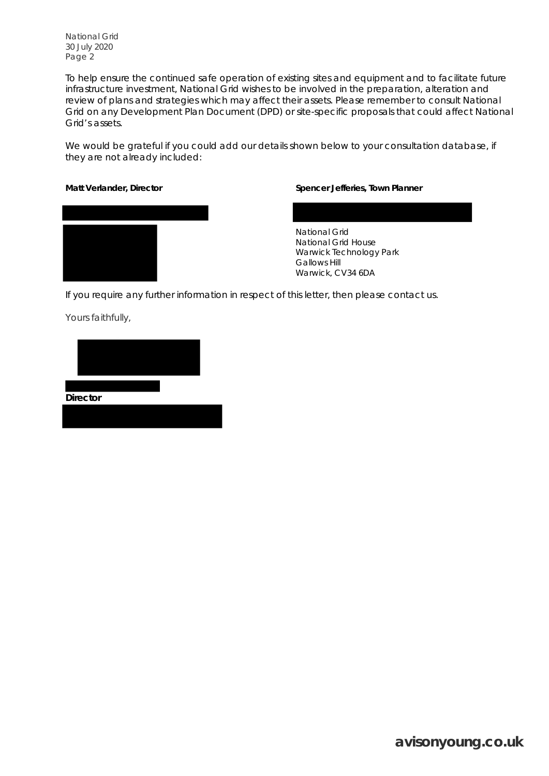National Grid 30 July 2020 Page 2

To help ensure the continued safe operation of existing sites and equipment and to facilitate future infrastructure investment, National Grid wishes to be involved in the preparation, alteration and review of plans and strategies which may affect their assets. Please remember to consult National Grid on any Development Plan Document (DPD) or site-specific proposals that could affect National Grid's assets.

We would be grateful if you could add our details shown below to your consultation database, if they are not already included:



## **Matt Verlander, Director Spencer Jefferies, Town Planner**

National Grid National Grid House Warwick Technology Park Gallows Hill Warwick, CV34 6DA

If you require any further information in respect of this letter, then please contact us.

Yours faithfully,